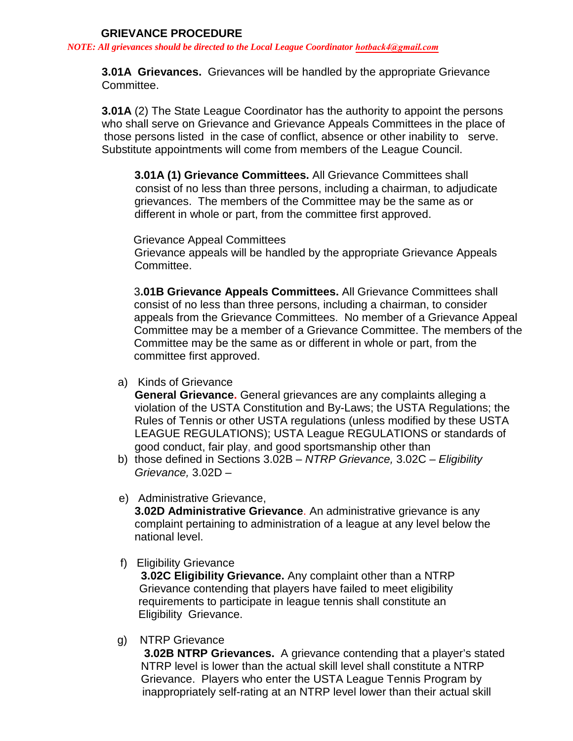*NOTE: All grievances should be directed to the Local League Coordinator hotback4@gm[ail.com](mailto:srw924@gmail.com)*

 **3.01A Grievances.** Grievances will be handled by the appropriate Grievance Committee.

**3.01A** (2) The State League Coordinator has the authority to appoint the persons who shall serve on Grievance and Grievance Appeals Committees in the place of those persons listed in the case of conflict, absence or other inability to serve. Substitute appointments will come from members of the League Council.

 **3.01A (1) Grievance Committees.** All Grievance Committees shall consist of no less than three persons, including a chairman, to adjudicate grievances. The members of the Committee may be the same as or different in whole or part, from the committee first approved.

 Grievance Appeal Committees Grievance appeals will be handled by the appropriate Grievance Appeals Committee.

3**.01B Grievance Appeals Committees.** All Grievance Committees shall consist of no less than three persons, including a chairman, to consider appeals from the Grievance Committees. No member of a Grievance Appeal Committee may be a member of a Grievance Committee. The members of the Committee may be the same as or different in whole or part, from the committee first approved.

a) Kinds of Grievance

**General Grievance.** General grievances are any complaints alleging a violation of the USTA Constitution and By-Laws; the USTA Regulations; the Rules of Tennis or other USTA regulations (unless modified by these USTA LEAGUE REGULATIONS); USTA League REGULATIONS or standards of good conduct, fair play, and good sportsmanship other than

- b) those defined in Sections 3.02B *NTRP Grievance,* 3.02C *Eligibility Grievance,* 3.02D –
- e) Administrative Grievance,

**3.02D Administrative Grievance**. An administrative grievance is any complaint pertaining to administration of a league at any level below the national level.

f) Eligibility Grievance

**3.02C Eligibility Grievance.** Any complaint other than a NTRP Grievance contending that players have failed to meet eligibility requirements to participate in league tennis shall constitute an Eligibility Grievance.

g) NTRP Grievance

**3.02B NTRP Grievances.** A grievance contending that a player's stated NTRP level is lower than the actual skill level shall constitute a NTRP Grievance. Players who enter the USTA League Tennis Program by inappropriately self-rating at an NTRP level lower than their actual skill